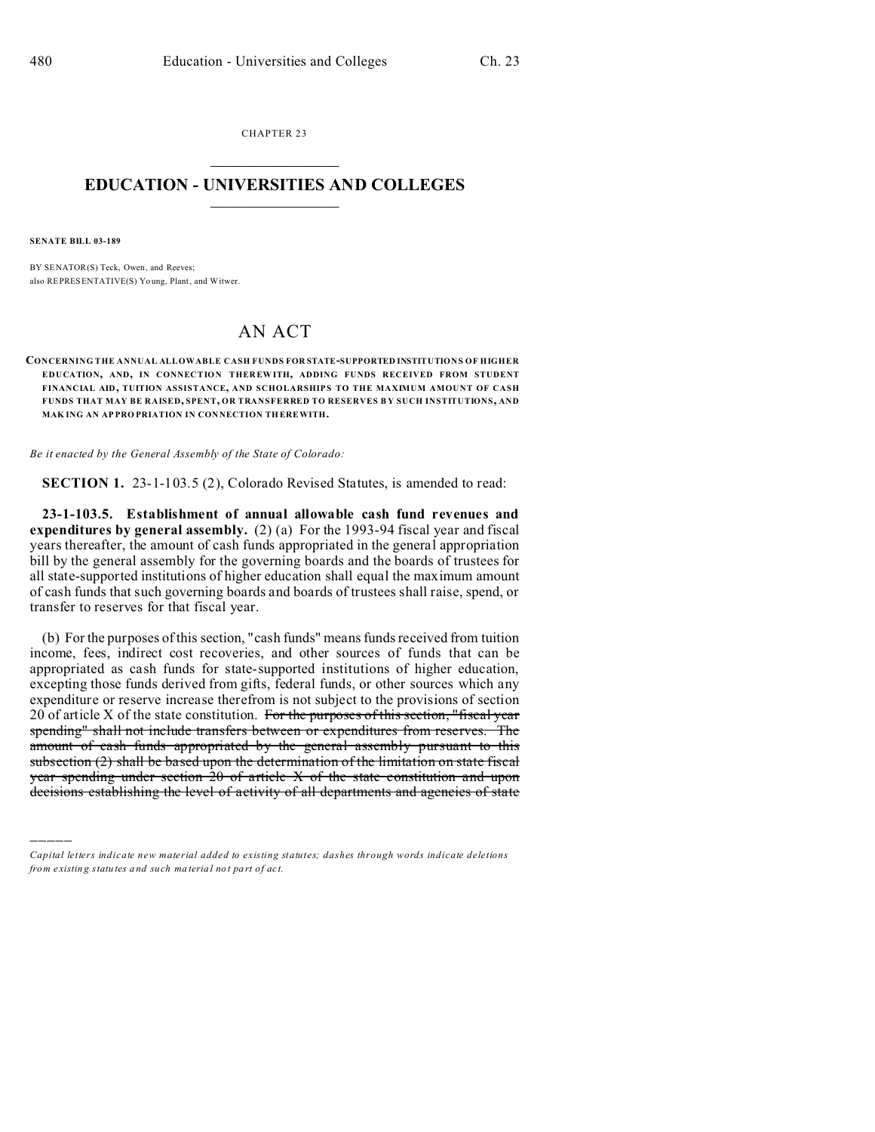CHAPTER 23  $\overline{\phantom{a}}$  , where  $\overline{\phantom{a}}$ 

#### **EDUCATION - UNIVERSITIES AND COLLEGES**  $\frac{1}{2}$  ,  $\frac{1}{2}$  ,  $\frac{1}{2}$  ,  $\frac{1}{2}$  ,  $\frac{1}{2}$  ,  $\frac{1}{2}$  ,  $\frac{1}{2}$

**SENATE BILL 03-189**

)))))

BY SENATOR(S) Teck, Owen, and Reeves; also REPRESENTATIVE(S) Yo ung, Plant, and Witwer.

# AN ACT

#### **CONCERNING THE ANNUAL ALLOWABLE CASH FUNDS FOR STATE-SUPPORTED INSTITUTIONS OF HIGHER EDUCATION, AND, IN CONNECTION THER EWITH, ADDING FUNDS RECEIVED FROM STUDENT FINANCIAL AID, TUITION ASSISTANCE, AND SCHOLARSHIP S TO THE MAXIMUM AMOUNT OF CASH FUNDS THAT MAY BE RAISED, SPENT, OR TRANSFERRED TO RESERVES B Y SUCH INSTITUTIONS, AND MAK ING AN AP PRO PRIATION IN CON NECTION TH EREWITH.**

*Be it enacted by the General Assembly of the State of Colorado:*

**SECTION 1.** 23-1-103.5 (2), Colorado Revised Statutes, is amended to read:

**23-1-103.5. Establishment of annual allowable cash fund revenues and expenditures by general assembly.** (2) (a) For the 1993-94 fiscal year and fiscal years thereafter, the amount of cash funds appropriated in the general appropriation bill by the general assembly for the governing boards and the boards of trustees for all state-supported institutions of higher education shall equal the maximum amount of cash funds that such governing boards and boards of trustees shall raise, spend, or transfer to reserves for that fiscal year.

(b) For the purposes of this section, "cash funds" means funds received from tuition income, fees, indirect cost recoveries, and other sources of funds that can be appropriated as cash funds for state-supported institutions of higher education, excepting those funds derived from gifts, federal funds, or other sources which any expenditure or reserve increase therefrom is not subject to the provisions of section  $20$  of article X of the state constitution. For the purposes of this section, "fiscal year spending" shall not include transfers between or expenditures from reserves. The amount of cash funds appropriated by the general assembly pursuant to this subsection (2) shall be based upon the determination of the limitation on state fiscal year spending under section 20 of article X of the state constitution and upon decisions establishing the level of activity of all departments and agencies of state

*Capital letters indicate new material added to existing statutes; dashes through words indicate deletions from e xistin g statu tes a nd such ma teria l no t pa rt of ac t.*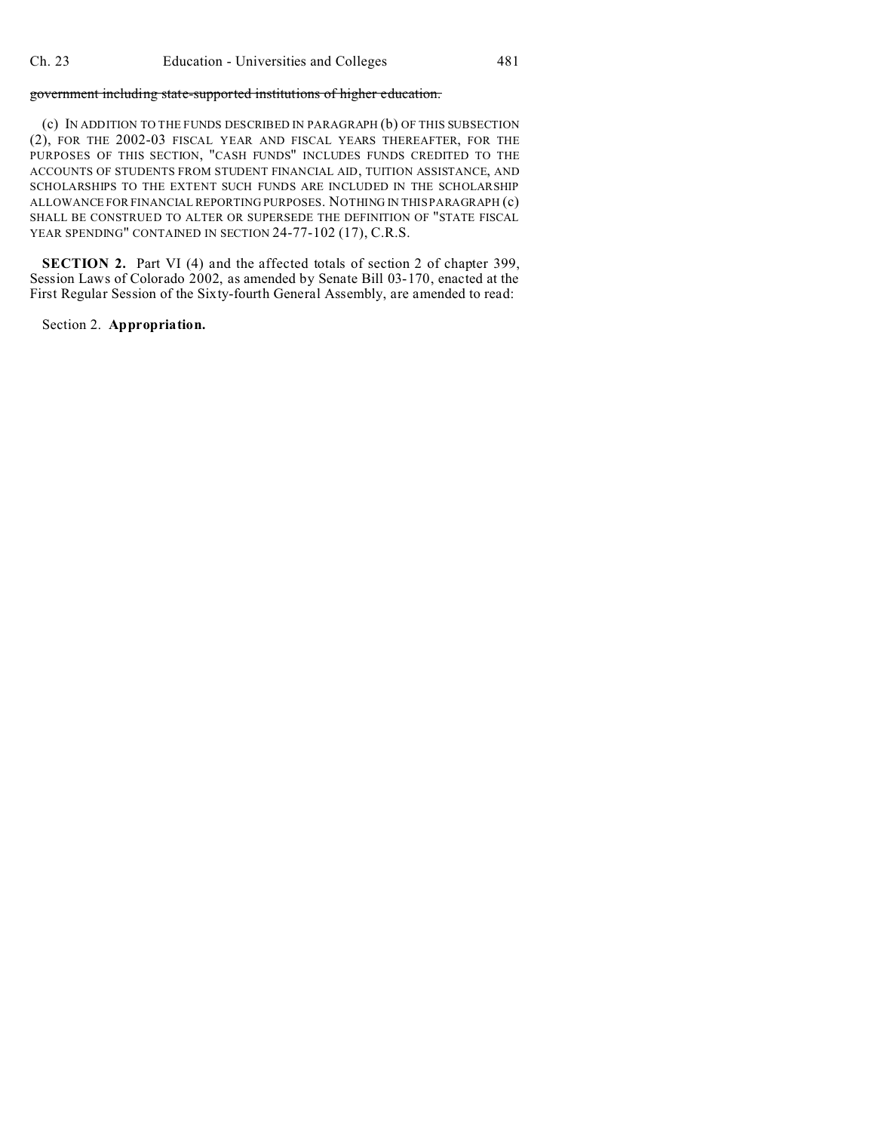#### government including state-supported institutions of higher education.

(c) IN ADDITION TO THE FUNDS DESCRIBED IN PARAGRAPH (b) OF THIS SUBSECTION (2), FOR THE 2002-03 FISCAL YEAR AND FISCAL YEARS THEREAFTER, FOR THE PURPOSES OF THIS SECTION, "CASH FUNDS" INCLUDES FUNDS CREDITED TO THE ACCOUNTS OF STUDENTS FROM STUDENT FINANCIAL AID, TUITION ASSISTANCE, AND SCHOLARSHIPS TO THE EXTENT SUCH FUNDS ARE INCLUDED IN THE SCHOLARSHIP ALLOWANCE FOR FINANCIAL REPORTING PURPOSES. NOTHING IN THIS PARAGRAPH (c) SHALL BE CONSTRUED TO ALTER OR SUPERSEDE THE DEFINITION OF "STATE FISCAL YEAR SPENDING" CONTAINED IN SECTION 24-77-102 (17), C.R.S.

**SECTION 2.** Part VI (4) and the affected totals of section 2 of chapter 399, Session Laws of Colorado 2002, as amended by Senate Bill 03-170, enacted at the First Regular Session of the Sixty-fourth General Assembly, are amended to read:

#### Section 2. **Appropriation.**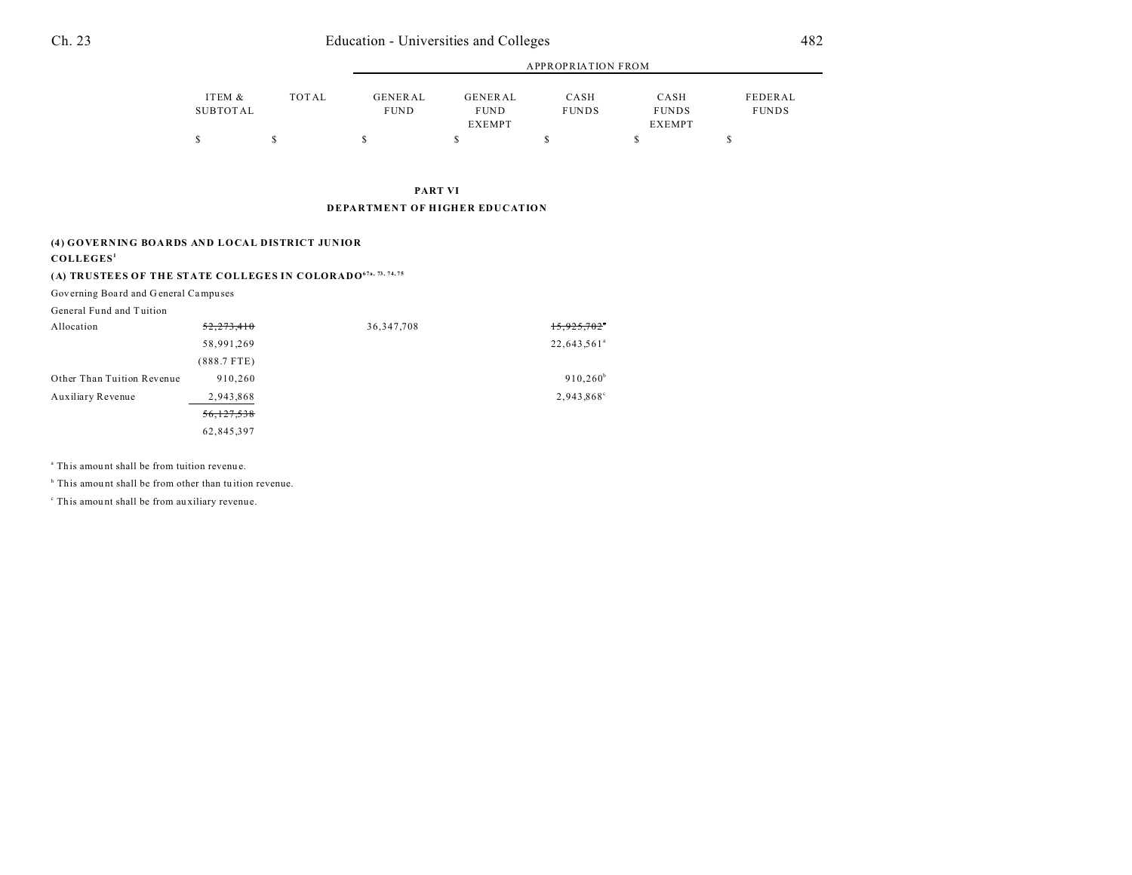|                    |       |                               | APPROPRIATION FROM     |                      |                      |                         |  |
|--------------------|-------|-------------------------------|------------------------|----------------------|----------------------|-------------------------|--|
| ITEM &<br>SUBTOTAL | TOTAL | <b>GENERAL</b><br><b>FUND</b> | GENERAL<br><b>FUND</b> | CASH<br><b>FUNDS</b> | CASH<br><b>FUNDS</b> | FEDERAL<br><b>FUNDS</b> |  |
|                    |       |                               | <b>EXEMPT</b>          |                      | <b>EXEMPT</b>        |                         |  |
|                    |       |                               |                        |                      |                      |                         |  |

**PART VI DEPARTMENT OF HIGHER EDUCATION**

#### **(4) GOVERNING BOARDS AND LOCAL DISTRICT JUNIOR**

**COLLEGES<sup>1</sup>**

### **(A) TRUSTEES OF THE STATE COLLEGES IN COLORADO67a, 73, 74, 75**

Governing Boa rd and G eneral Campu ses

General Fund and Tuition

| Allocation                 | 52,273,410    | 36, 347, 708 | 15,925,702              |
|----------------------------|---------------|--------------|-------------------------|
|                            | 58,991,269    |              | 22,643,561 <sup>a</sup> |
|                            | $(888.7$ FTE) |              |                         |
| Other Than Tuition Revenue | 910.260       |              | $910,260^{\rm b}$       |
| Auxiliary Revenue          | 2,943,868     |              | 2,943,868°              |
|                            | 56,127,538    |              |                         |
|                            | 62,845,397    |              |                         |

<sup>a</sup> This amount shall be from tuition revenue.

<sup>b</sup> This amount shall be from other than tuition revenue.

c This amou nt shall be from au xiliary revenue.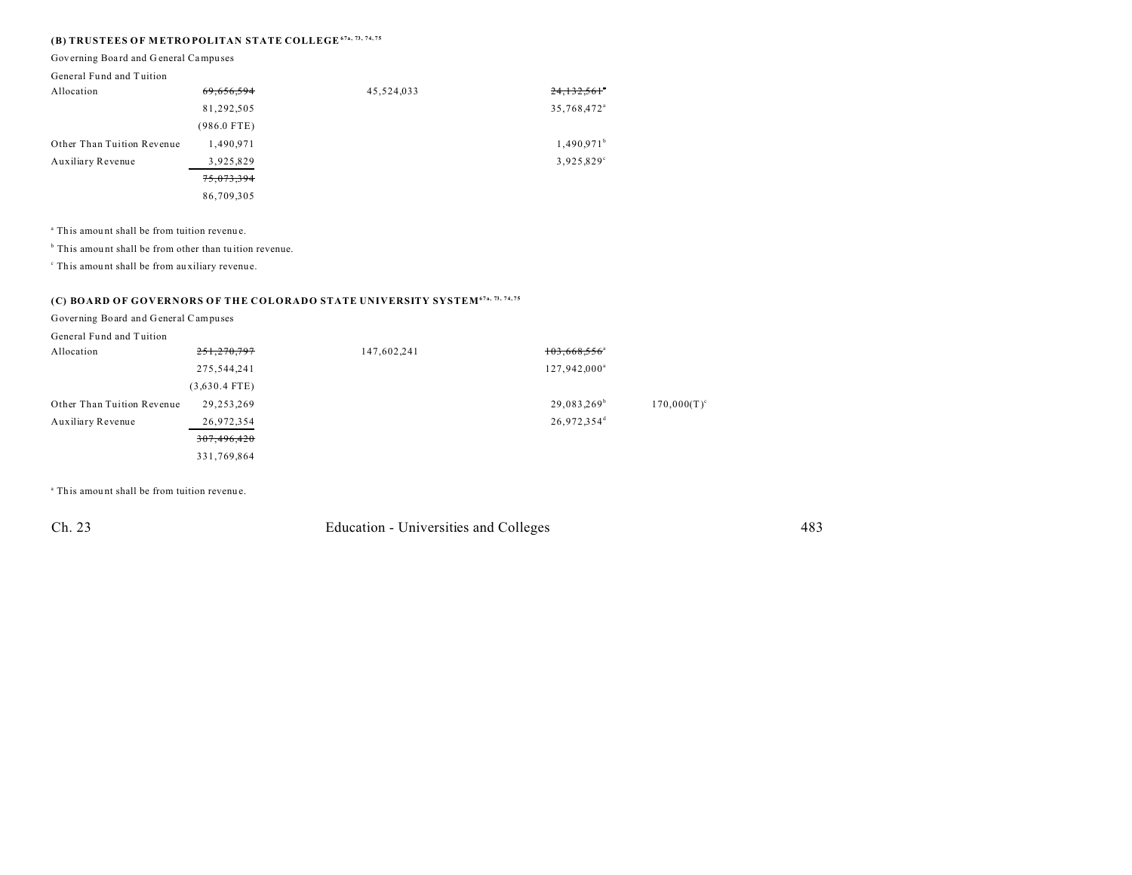### **(B) TRUSTEES OF M ETRO POLITAN STATE COLLEGE67a, 73, 74, 75**

Governing Boa rd and G eneral Campu ses

#### General Fund and Tuition

| Allocation                 | 69,656,594    | 45,524,033 | 24,132,561              |
|----------------------------|---------------|------------|-------------------------|
|                            | 81,292,505    |            | 35,768,472 <sup>a</sup> |
|                            | $(986.0$ FTE) |            |                         |
| Other Than Tuition Revenue | 1,490.971     |            | 1,490.971 <sup>b</sup>  |
| Auxiliary Revenue          | 3,925,829     |            | 3,925,829°              |
|                            | 75,073,394    |            |                         |
|                            | 86,709,305    |            |                         |

<sup>a</sup> This amount shall be from tuition revenue.

<sup>b</sup> This amount shall be from other than tuition revenue.

c This amou nt shall be from au xiliary revenue.

### **(C) BOARD OF GOVERNORS OF THE COLORADO STATE UNIVERSITY SYSTEM67a, 73, 74, 75**

Governing Board and General Campuses

| General Fund and Tuition |
|--------------------------|
|--------------------------|

| Allocation                 | 251,270,797     | 147,602,241 | $103,668,556$ <sup>a</sup> |                |
|----------------------------|-----------------|-------------|----------------------------|----------------|
|                            | 275,544,241     |             | 127,942,000 <sup>a</sup>   |                |
|                            | $(3,630.4$ FTE) |             |                            |                |
| Other Than Tuition Revenue | 29,253,269      |             | 29,083,269 <sup>b</sup>    | $170,000(T)^c$ |
| Auxiliary Revenue          | 26,972,354      |             | 26,972,354 <sup>d</sup>    |                |
|                            | 307,496,420     |             |                            |                |
|                            | 331,769,864     |             |                            |                |

<sup>a</sup> This amount shall be from tuition revenue.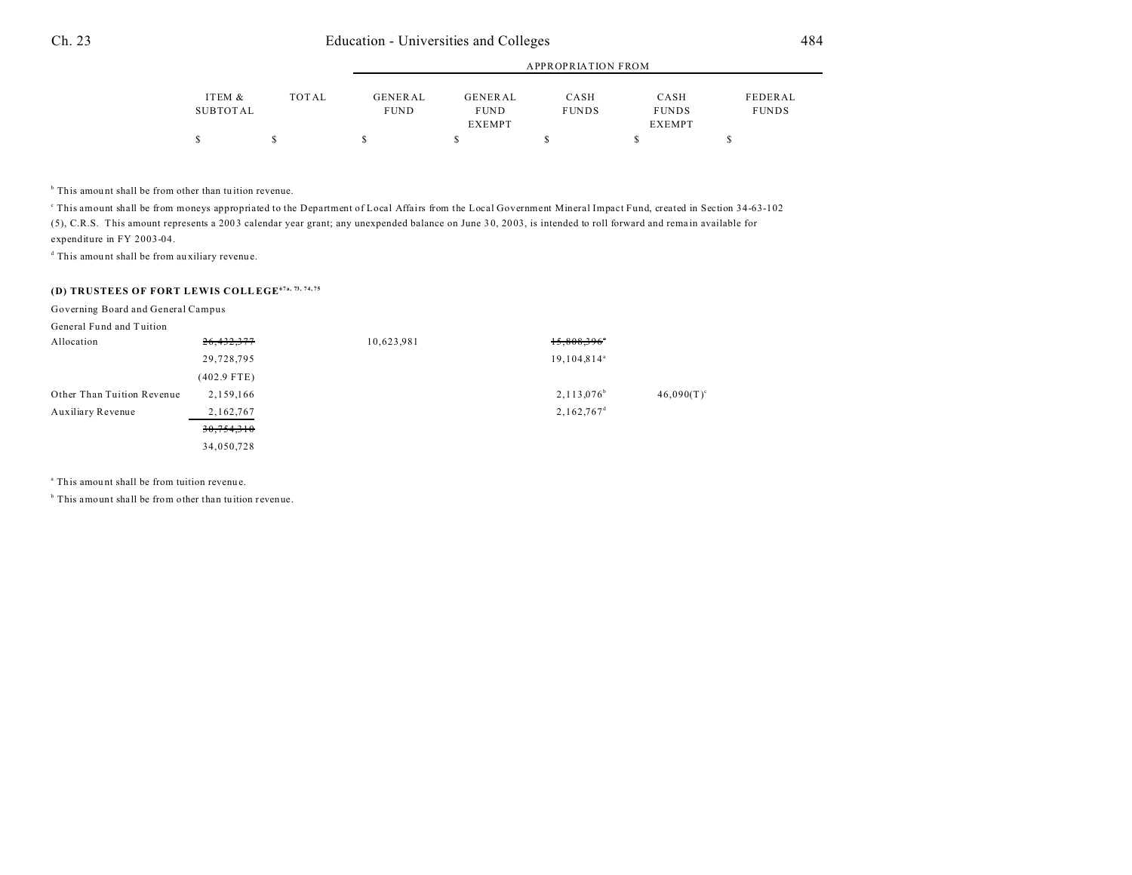|                    |       |                        |                        | <b>APPROPRIATION FROM</b> |                      |                         |
|--------------------|-------|------------------------|------------------------|---------------------------|----------------------|-------------------------|
| ITEM &<br>SUBTOTAL | TOTAL | GENERAL<br><b>FUND</b> | GENERAL<br><b>FUND</b> | CASH<br><b>FUNDS</b>      | CASH<br><b>FUNDS</b> | FEDERAL<br><b>FUNDS</b> |
|                    |       |                        | <b>EXEMPT</b>          |                           | <b>EXEMPT</b>        |                         |
|                    |       |                        |                        |                           |                      |                         |

<sup>b</sup> This amount shall be from other than tuition revenue.

This amount shall be from moneys appropriated to the Department of Local Affairs from the Local Government Mineral Impact Fund, created in Section 34-63-102 (5), C.R.S. This amount represents a 200 3 calendar year grant; any unexpended balance on June 3 0, 20 03, is intended to roll forward and rema in available for expenditure in FY 2003-04.

d This amou nt shall be from au xiliary revenue.

#### **(D) TRUSTEES OF FORT LEWIS COLLEGE67a, 73, 74, 75**

Governing Board and General Campus

| General Fund and Tuition   |               |            |                           |               |
|----------------------------|---------------|------------|---------------------------|---------------|
| Allocation                 | 26,432,377    | 10,623,981 | $15,808,396$ <sup>*</sup> |               |
|                            | 29,728,795    |            | 19, 104, 814 <sup>a</sup> |               |
|                            | $(402.9$ FTE) |            |                           |               |
| Other Than Tuition Revenue | 2,159,166     |            | $2,113,076^b$             | $46,090(T)^c$ |
| Auxiliary Revenue          | 2,162,767     |            | $2,162,767$ <sup>d</sup>  |               |
|                            | 30,754,310    |            |                           |               |
|                            | 34,050,728    |            |                           |               |

<sup>a</sup> This amount shall be from tuition revenue.

<sup>b</sup> This amount shall be from other than tuition revenue.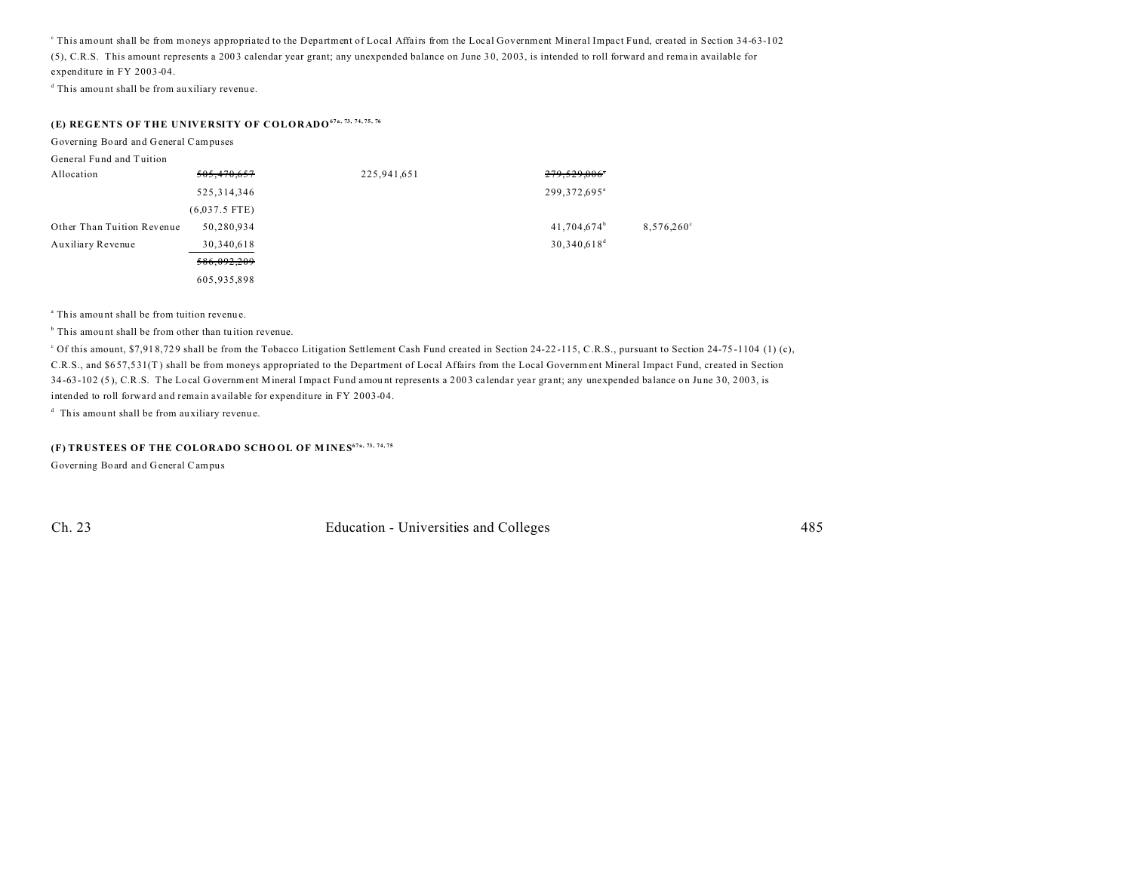c This amount shall be from moneys appropriated to the Department of Local Affairs from the Local Government Mineral Impact Fund, created in Section 34-63-102 (5), C.R.S. This amount represents a 200 3 calendar year grant; any unexpended balance on June 3 0, 20 03, is intended to roll forward and rema in available for expenditure in FY 2003-04.

d This amou nt shall be from au xiliary revenue.

### **(E) REGENTS OF THE UNIVERSITY OF COLORADO67a, 73, 74, 75, 76**

Governing Board and General Campuses

| General Fund and Tuition   |                 |             |                            |                     |
|----------------------------|-----------------|-------------|----------------------------|---------------------|
| Allocation                 | 505,470,657     | 225,941,651 | 279,529,006*               |                     |
|                            | 525, 314, 346   |             | 299, 372, 695 <sup>a</sup> |                     |
|                            | $(6,037.5$ FTE) |             |                            |                     |
| Other Than Tuition Revenue | 50,280,934      |             | 41,704,674 <sup>b</sup>    | $8,576,260^{\circ}$ |
| Auxiliary Revenue          | 30,340,618      |             | $30,340,618^d$             |                     |
|                            | 586,092,209     |             |                            |                     |
|                            | 605,935,898     |             |                            |                     |

<sup>a</sup> This amount shall be from tuition revenue.

<sup>b</sup> This amount shall be from other than tuition revenue.

<sup>c</sup> Of this amount, \$7,918,729 shall be from the Tobacco Litigation Settlement Cash Fund created in Section 24-22-115, C.R.S., pursuant to Section 24-75-1104 (1) (c), C.R.S., and \$6 57,5 31(T ) shall be from moneys appropriated to the Department of Local Affairs from the Local Government Mineral Impact Fund, created in Section 34-63-102 (5), C.R.S. The Local Government Mineral Impact Fund amount represents a 2003 calendar year grant; any unexpended balance on June 30, 2003, is intended to roll forward and remain available for expenditure in FY 2003-04.

<sup>d</sup> This amount shall be from auxiliary revenue.

#### **(F) TRUSTEES OF THE COLORADO SCHO OL OF M INES67a, 73, 74, 75**

Governing Board and General Campus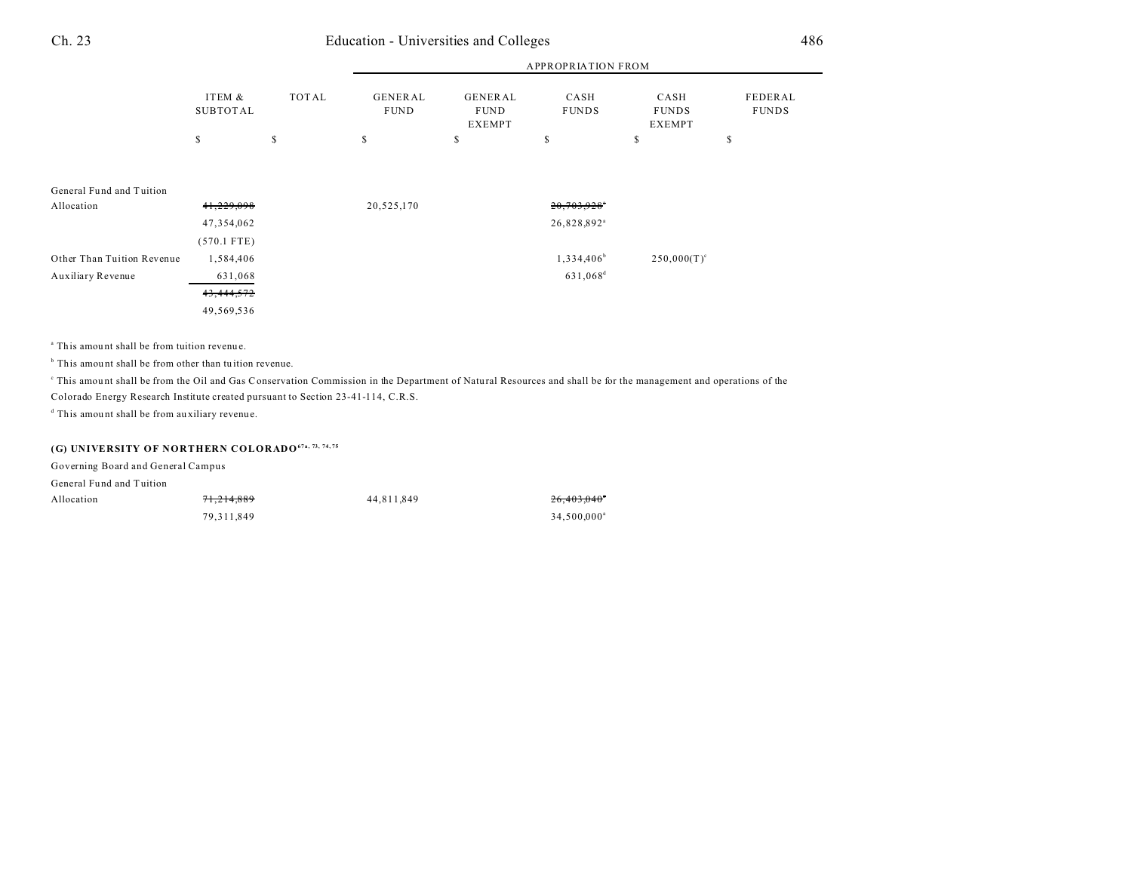|                            |                           |              | <b>APPROPRIATION FROM</b>     |                                                |                           |                                       |                         |
|----------------------------|---------------------------|--------------|-------------------------------|------------------------------------------------|---------------------------|---------------------------------------|-------------------------|
|                            | ITEM &<br><b>SUBTOTAL</b> | <b>TOTAL</b> | <b>GENERAL</b><br><b>FUND</b> | <b>GENERAL</b><br><b>FUND</b><br><b>EXEMPT</b> | CASH<br><b>FUNDS</b>      | CASH<br><b>FUNDS</b><br><b>EXEMPT</b> | FEDERAL<br><b>FUNDS</b> |
|                            | \$                        | s            | \$                            | \$                                             | S                         | S                                     | \$                      |
| General Fund and Tuition   |                           |              |                               |                                                |                           |                                       |                         |
| Allocation                 | 41,229,098                |              | 20,525,170                    |                                                | $20,703,928$ <sup>*</sup> |                                       |                         |
|                            | 47,354,062                |              |                               |                                                | 26,828,892 <sup>a</sup>   |                                       |                         |
|                            | $(570.1$ FTE)             |              |                               |                                                |                           |                                       |                         |
| Other Than Tuition Revenue | 1,584,406                 |              |                               |                                                | $1,334,406^b$             | $250,000(T)^c$                        |                         |
| Auxiliary Revenue          | 631,068                   |              |                               |                                                | 631,068 <sup>d</sup>      |                                       |                         |
|                            | 43,444,572                |              |                               |                                                |                           |                                       |                         |
|                            | 49,569,536                |              |                               |                                                |                           |                                       |                         |

<sup>a</sup> This amount shall be from tuition revenue.

<sup>b</sup> This amount shall be from other than tuition revenue.

This amount shall be from the Oil and Gas Conservation Commission in the Department of Natural Resources and shall be for the management and operations of the

Colorado Energy Research Institute created pursuant to Section 23-41-114, C.R.S.

d This amou nt shall be from au xiliary revenue.

### **(G) UNIVERSITY OF NORTHERN COLORADO67a, 73, 74, 75**

Governing Board and General Campus

General Fund and Tuition

| Allocation | 71.214.889 | 44.811.849 | 26,403,040              |
|------------|------------|------------|-------------------------|
|            | 79.311.849 |            | 34.500,000 <sup>a</sup> |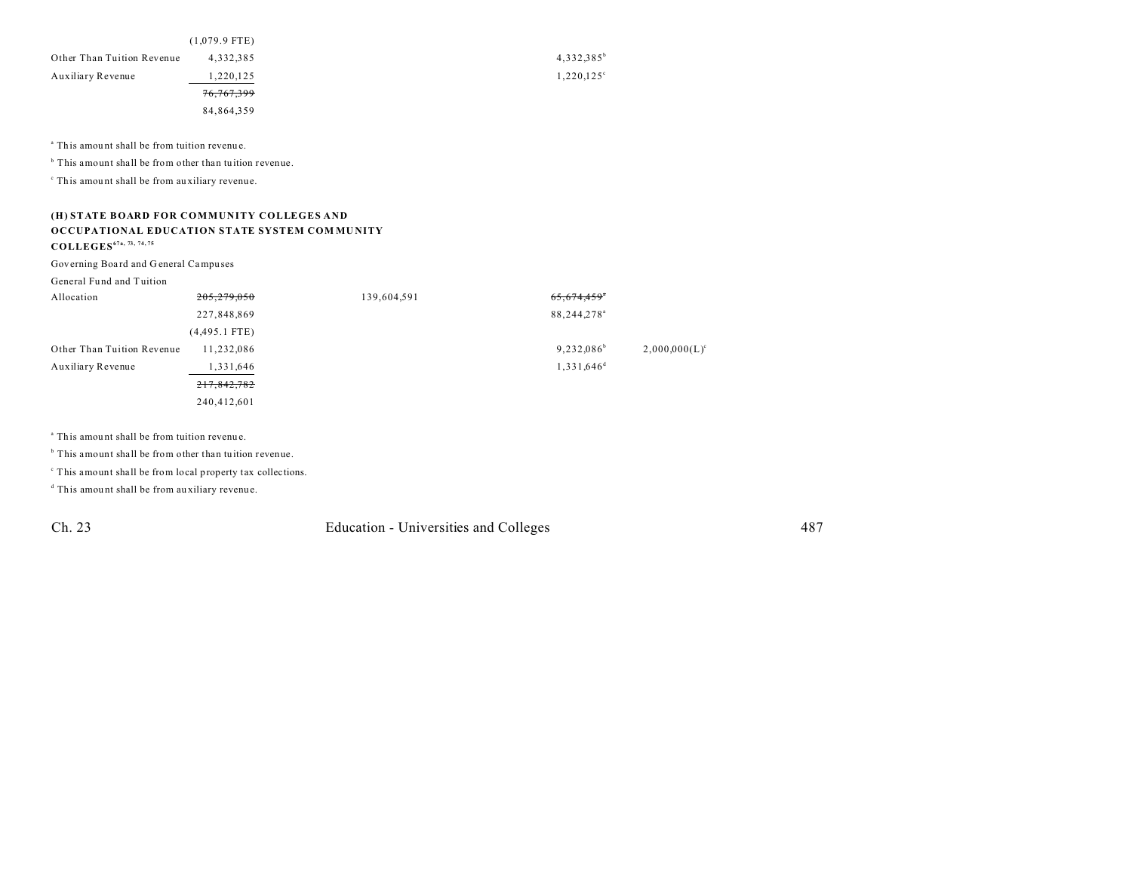|                            | $(1,079.9$ FTE)       |
|----------------------------|-----------------------|
| Other Than Tuition Revenue | 4,332,385             |
| Auxiliary Revenue          | 1,220,125             |
|                            | <del>76,767,399</del> |
|                            | 84,864,359            |

<sup>a</sup> This amount shall be from tuition revenue.

<sup>b</sup> This amount shall be from other than tuition revenue.

c This amou nt shall be from au xiliary revenue.

#### **(H) STATE BOARD FOR COMMUNITY COLLEGES AND OCCUPATIONAL EDUCATION STATE SYSTEM COM MU NITY COLLEGES67a, 73, 74, 75**

Governing Boa rd and G eneral Campu ses

General Fund and Tuition

| Allocation                 | 205,279,050     | 139,604,591 | 65,674,459                |                  |
|----------------------------|-----------------|-------------|---------------------------|------------------|
|                            | 227,848,869     |             | 88, 244, 278 <sup>a</sup> |                  |
|                            | $(4,495.1$ FTE) |             |                           |                  |
| Other Than Tuition Revenue | 11,232,086      |             | $9,232,086^{\circ}$       | $2,000,000(L)^c$ |
| Auxiliary Revenue          | 1,331,646       |             | $1,331,646$ <sup>d</sup>  |                  |
|                            | 217,842,782     |             |                           |                  |
|                            | 240,412,601     |             |                           |                  |

<sup>a</sup> This amount shall be from tuition revenue.

<sup>b</sup> This amount shall be from other than tuition revenue.

c This amount shall be from local property tax collections.

d This amou nt shall be from au xiliary revenue.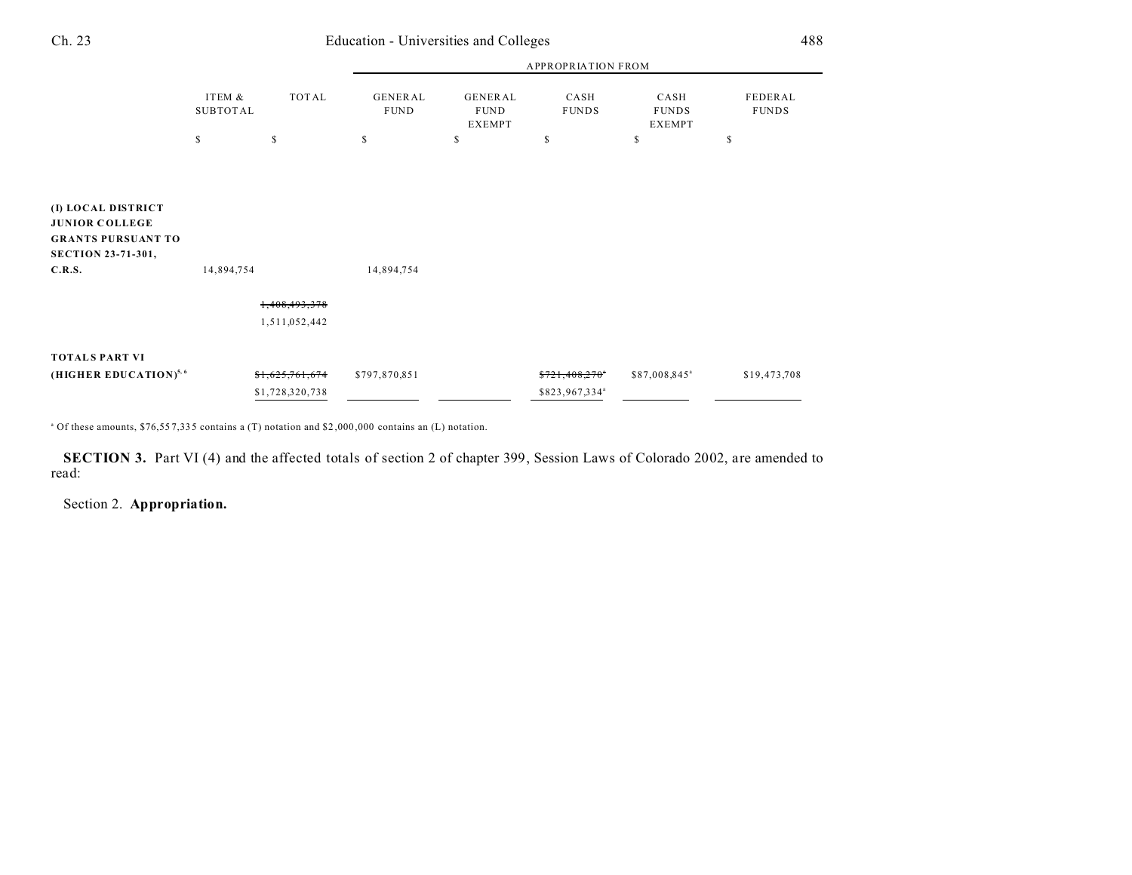| × |   |
|---|---|
| i | × |
|   | I |

|                                                                                                                 |                    |                 |                        |                                         | <b>APPROPRIATION FROM</b>  |                                       |                         |
|-----------------------------------------------------------------------------------------------------------------|--------------------|-----------------|------------------------|-----------------------------------------|----------------------------|---------------------------------------|-------------------------|
|                                                                                                                 | ITEM &<br>SUBTOTAL | TOTAL           | GENERAL<br><b>FUND</b> | <b>GENERAL</b><br><b>FUND</b><br>EXEMPT | CASH<br><b>FUNDS</b>       | CASH<br><b>FUNDS</b><br><b>EXEMPT</b> | FEDERAL<br><b>FUNDS</b> |
|                                                                                                                 | \$                 | \$              | \$                     | \$                                      | S                          | \$                                    | \$                      |
|                                                                                                                 |                    |                 |                        |                                         |                            |                                       |                         |
| (I) LOCAL DISTRICT<br><b>JUNIOR COLLEGE</b><br><b>GRANTS PURSUANT TO</b><br><b>SECTION 23-71-301,</b><br>C.R.S. | 14,894,754         |                 | 14,894,754             |                                         |                            |                                       |                         |
|                                                                                                                 |                    | 1,408,493,378   |                        |                                         |                            |                                       |                         |
|                                                                                                                 |                    | 1,511,052,442   |                        |                                         |                            |                                       |                         |
| <b>TOTALS PART VI</b>                                                                                           |                    |                 |                        |                                         |                            |                                       |                         |
| (HIGHER EDUCATION) <sup>5, 6</sup>                                                                              |                    | \$1,625,761,674 | \$797,870,851          |                                         | \$721,408,270"             | \$87,008,845 <sup>a</sup>             | \$19,473,708            |
|                                                                                                                 |                    | \$1,728,320,738 |                        |                                         | \$823,967,334 <sup>ª</sup> |                                       |                         |

a Of these amounts, \$76,55 7,33 5 contains a (T) notation and \$2 ,000 ,000 contains an (L) notation.

**SECTION 3.** Part VI (4) and the affected totals of section 2 of chapter 399, Session Laws of Colorado 2002, are amended to read:

Section 2. **Appropriation.**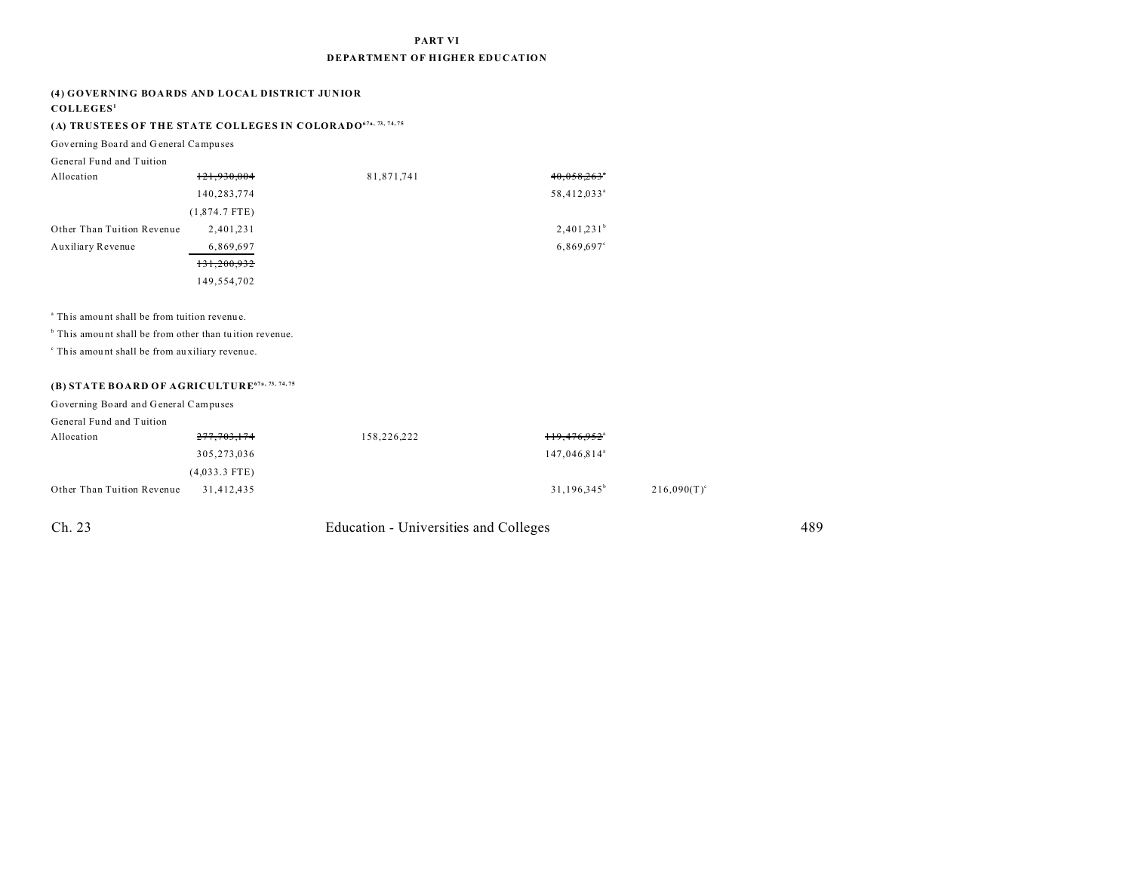#### **PART VI**

#### **DEPARTMENT OF HIGHER EDUCATION**

#### **(4) GOVERNING BOARDS AND LOCAL DISTRICT JUNIOR**

#### **COLLEGES<sup>1</sup>**

### **(A) TRUSTEES OF THE STATE COLLEGES IN COLORADO67a, 73, 74, 75**

Governing Boa rd and G eneral Campu ses

| General Fund and Tuition   |                 |            |                           |
|----------------------------|-----------------|------------|---------------------------|
| Allocation                 | 121,930,004     | 81,871,741 | $40,058,263$ <sup>*</sup> |
|                            | 140,283,774     |            | 58,412,033 <sup>a</sup>   |
|                            | $(1,874.7$ FTE) |            |                           |
| Other Than Tuition Revenue | 2,401,231       |            | $2,401,231^b$             |
| Auxiliary Revenue          | 6,869,697       |            | 6,869,697°                |
|                            | 131,200,932     |            |                           |
|                            | 149,554,702     |            |                           |

<sup>a</sup> This amount shall be from tuition revenue.

<sup>b</sup> This amount shall be from other than tuition revenue.

c This amou nt shall be from au xiliary revenue.

## **(B) STATE BOARD OF AGRICULTURE67a, 73, 74, 75**

Governing Board and General Campuses

| senerar i unu anu i union  |                 |             |                            |                      |
|----------------------------|-----------------|-------------|----------------------------|----------------------|
| Allocation                 | 277,703,174     | 158,226,222 | $119,476,952$ <sup>a</sup> |                      |
|                            | 305,273,036     |             | 147,046,814 <sup>a</sup>   |                      |
|                            | $(4,033.3$ FTE) |             |                            |                      |
| Other Than Tuition Revenue | 31.412.435      |             | $31,196,345^{\circ}$       | $216,090(T)^{\circ}$ |
|                            |                 |             |                            |                      |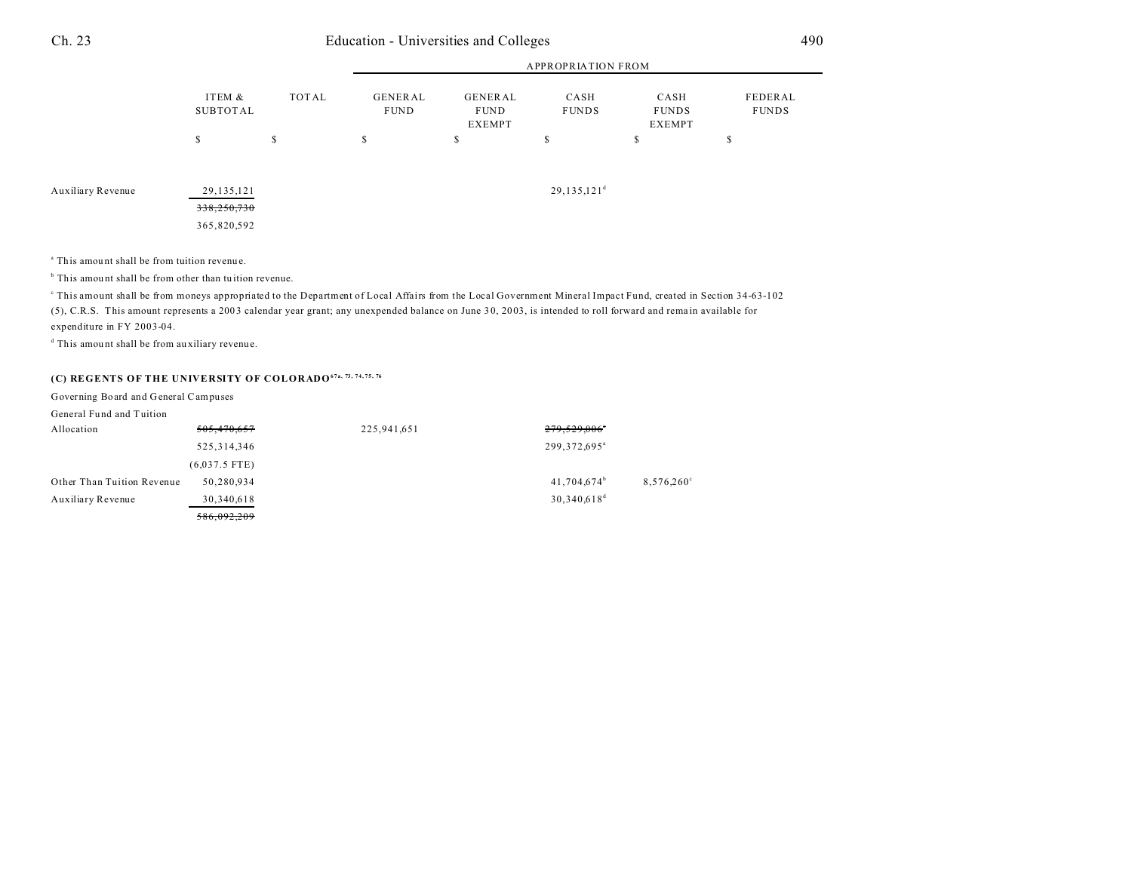|                   |                                            |       | <b>APPROPRIATION FROM</b>     |                                         |                      |                                |                         |  |
|-------------------|--------------------------------------------|-------|-------------------------------|-----------------------------------------|----------------------|--------------------------------|-------------------------|--|
|                   | ITEM &<br>SUBTOTAL                         | TOTAL | <b>GENERAL</b><br><b>FUND</b> | <b>GENERAL</b><br><b>FUND</b><br>EXEMPT | CASH<br><b>FUNDS</b> | CASH<br><b>FUNDS</b><br>EXEMPT | FEDERAL<br><b>FUNDS</b> |  |
|                   | \$                                         | \$    | \$                            | S                                       | \$                   | \$                             | \$                      |  |
| Auxiliary Revenue | 29, 135, 121<br>338,250,730<br>365,820,592 |       |                               |                                         | $29,135,121^d$       |                                |                         |  |

<sup>a</sup> This amount shall be from tuition revenue.

<sup>b</sup> This amount shall be from other than tuition revenue.

This amount shall be from moneys appropriated to the Department of Local Affairs from the Local Government Mineral Impact Fund, created in Section 34-63-102 (5), C.R.S. This amount represents a 200 3 calendar year grant; any unexpended balance on June 3 0, 20 03, is intended to roll forward and rema in available for expenditure in FY 2003-04.

d This amou nt shall be from au xiliary revenue.

### **(C) REGENTS OF THE UNIVERSITY OF COLORADO67a, 73, 74, 75, 76**

Governing Board and General Campuses

General Fund and Tuition

| Allocation                 | 505,470,657     | 225,941,651 | 279,529,006°               |                     |
|----------------------------|-----------------|-------------|----------------------------|---------------------|
|                            | 525, 314, 346   |             | 299, 372, 695 <sup>a</sup> |                     |
|                            | $(6,037.5$ FTE) |             |                            |                     |
| Other Than Tuition Revenue | 50,280,934      |             | $41,704,674^b$             | $8,576,260^{\circ}$ |
| Auxiliary Revenue          | 30,340,618      |             | $30,340,618^d$             |                     |
|                            | 586,092,209     |             |                            |                     |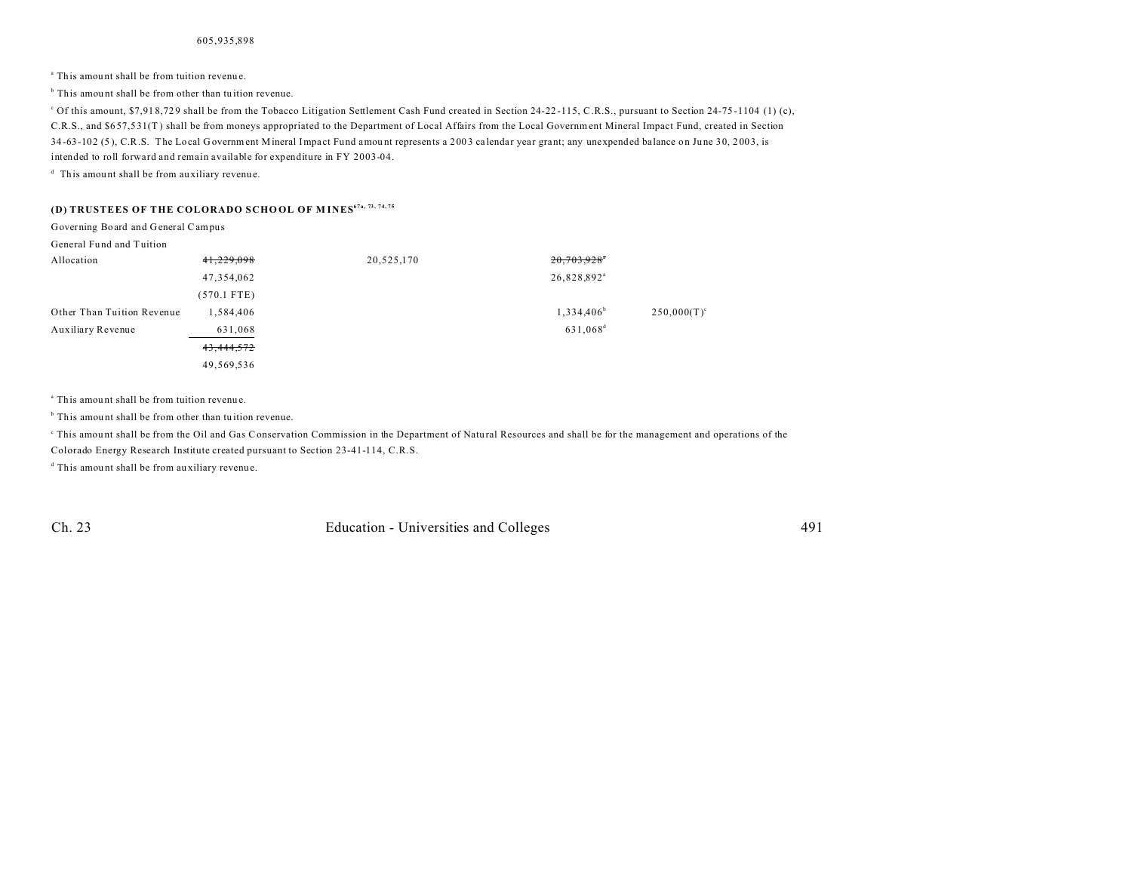<sup>a</sup> This amount shall be from tuition revenue.

<sup>b</sup> This amount shall be from other than tuition revenue.

<sup>c</sup> Of this amount, \$7,918,729 shall be from the Tobacco Litigation Settlement Cash Fund created in Section 24-22-115, C.R.S., pursuant to Section 24-75-1104 (1) (c), C.R.S., and \$6 57,5 31(T ) shall be from moneys appropriated to the Department of Local Affairs from the Local Government Mineral Impact Fund, created in Section 34-63-102 (5), C.R.S. The Local Government Mineral Impact Fund amount represents a 2003 calendar year grant; any unexpended balance on June 30, 2003, is intended to roll forward and remain available for expenditure in FY 2003-04.

<sup>d</sup> This amount shall be from auxiliary revenue.

#### **(D) TRUSTEES OF THE COLORADO SCHO OL OF M INES67a, 73, 74, 75**

Governing Board and General Campus

General Fund and Tuition

| Allocation                 | 41,229,098    | 20,525,170 | 20,703,928*             |                |
|----------------------------|---------------|------------|-------------------------|----------------|
|                            | 47,354,062    |            | 26,828,892 <sup>a</sup> |                |
|                            | $(570.1$ FTE) |            |                         |                |
| Other Than Tuition Revenue | 1,584,406     |            | $1,334,406^b$           | $250,000(T)^c$ |
| Auxiliary Revenue          | 631,068       |            | 631,068 <sup>d</sup>    |                |
|                            | 43,444,572    |            |                         |                |
|                            | 49,569,536    |            |                         |                |

<sup>a</sup> This amount shall be from tuition revenue.

<sup>b</sup> This amount shall be from other than tuition revenue.

This amount shall be from the Oil and Gas Conservation Commission in the Department of Natural Resources and shall be for the management and operations of the Colorado Energy Research Institute created pursuant to Section 23-41-114, C.R.S.

d This amou nt shall be from au xiliary revenue.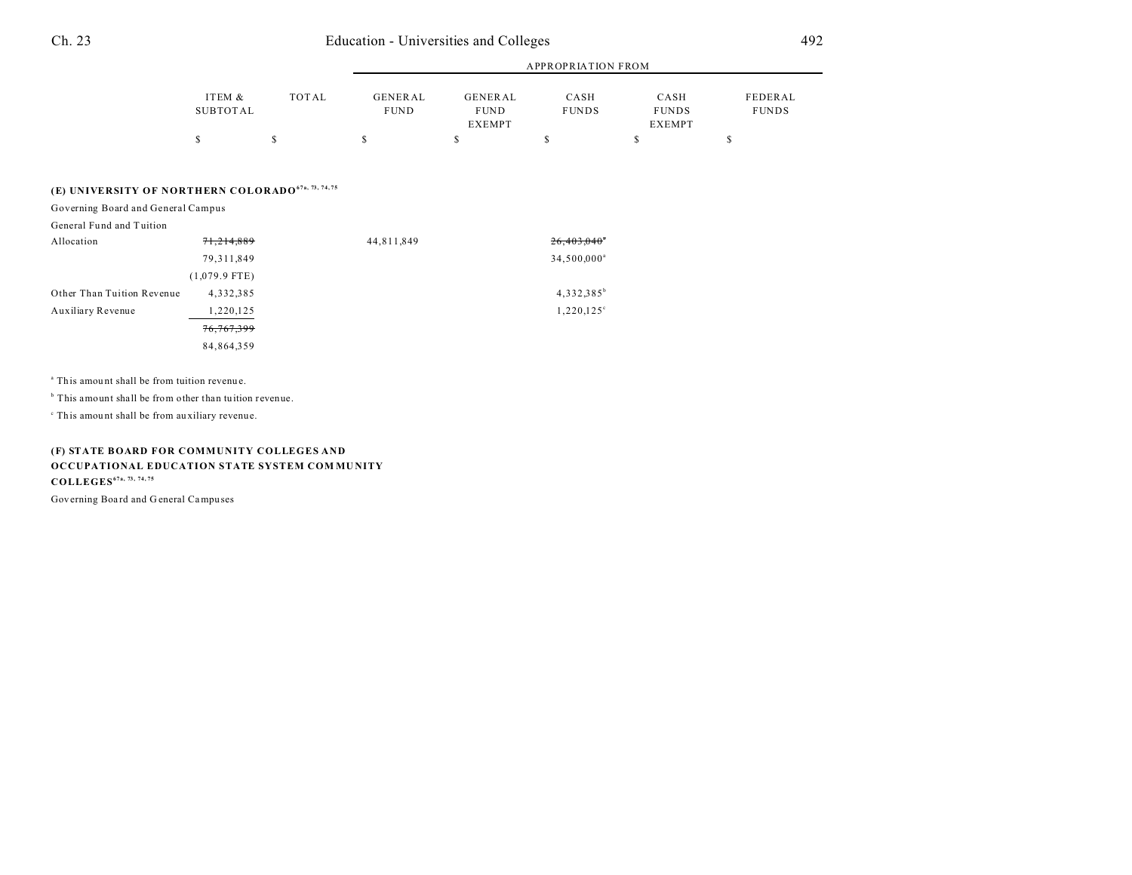|          |       |                |               | APPROPRIATION FROM |              |              |
|----------|-------|----------------|---------------|--------------------|--------------|--------------|
| ITEM &   | TOTAL | <b>GENERAL</b> | GENERAL       | CASH               | CASH         | FEDERAL      |
| SUBTOTAL |       | <b>FUND</b>    | <b>FUND</b>   | <b>FUNDS</b>       | <b>FUNDS</b> | <b>FUNDS</b> |
|          |       |                | <b>EXEMPT</b> |                    | EXEMPT       |              |
|          |       |                |               |                    |              |              |

### **(E) UNIVERSITY OF NORTHERN COLORADO67a, 73, 74, 75**

Governing Board and General Campus

| Allocation                 | 71,214,889      | 44,811,849 | $26,403,040$ <sup>*</sup> |
|----------------------------|-----------------|------------|---------------------------|
|                            | 79, 311, 849    |            | 34,500,000 <sup>a</sup>   |
|                            | $(1,079.9$ FTE) |            |                           |
| Other Than Tuition Revenue | 4,332,385       |            | $4,332,385^b$             |
| Auxiliary Revenue          | 1,220,125       |            | $1,220,125^{\circ}$       |
|                            | 76,767,399      |            |                           |
|                            | 84,864,359      |            |                           |

<sup>a</sup> This amount shall be from tuition revenue.

<sup>b</sup> This amount shall be from other than tuition revenue.

c This amou nt shall be from au xiliary revenue.

**(F) STATE BOARD FOR COMMUNITY COLLEGES AND OCCUPATIONAL EDUCATION STATE SYSTEM COM MU NITY COLLEGES67a, 73, 74, 75**

Governing Boa rd and G eneral Campu ses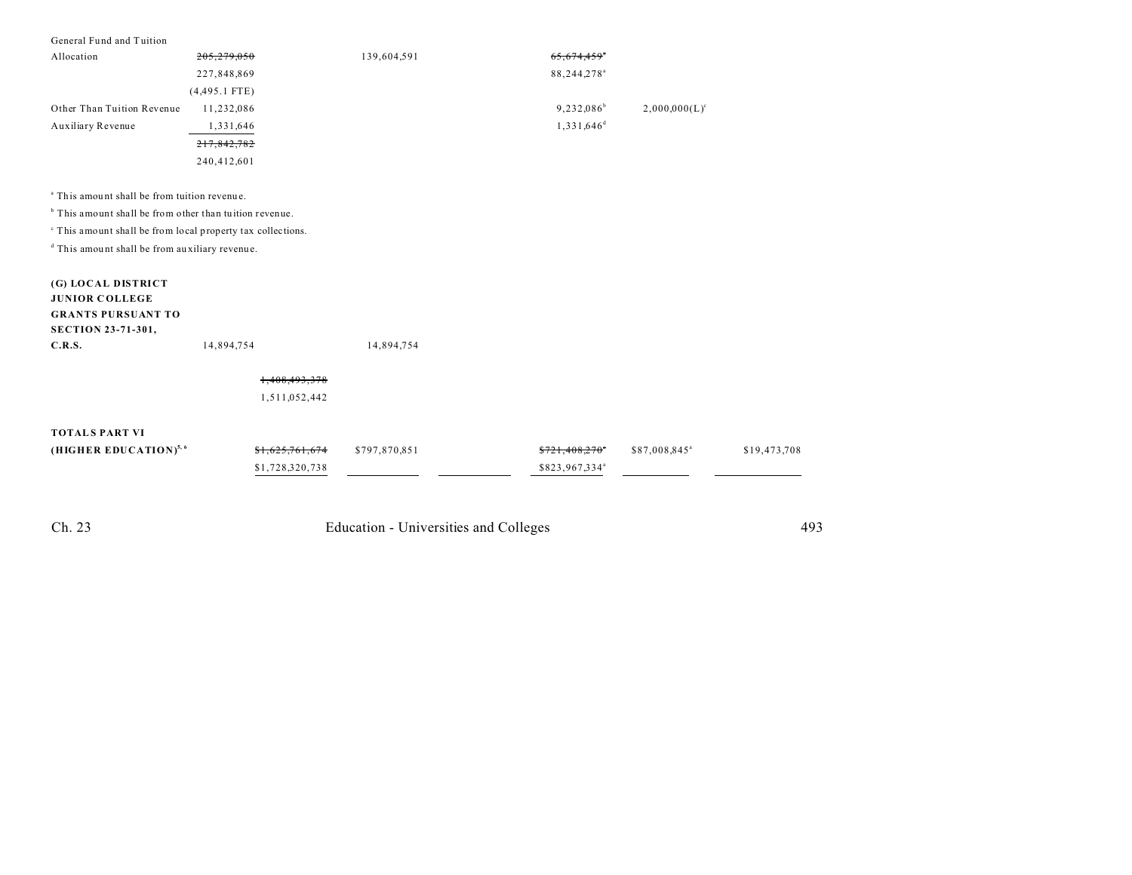| General Fund and Tuition                                           |                            |               |                            |                           |              |
|--------------------------------------------------------------------|----------------------------|---------------|----------------------------|---------------------------|--------------|
| Allocation                                                         | 279.050                    | 139,604,591   |                            |                           |              |
|                                                                    | 227,848,869                |               | 88,244,278 <sup>a</sup>    |                           |              |
|                                                                    | $(4,495.1$ FTE)            |               |                            |                           |              |
| Other Than Tuition Revenue                                         | 11,232,086                 |               | 9,232,086 <sup>b</sup>     | $2,000,000(L)^c$          |              |
| Auxiliary Revenue                                                  | 1,331,646                  |               | $1,331,646^d$              |                           |              |
|                                                                    | 217,842,782                |               |                            |                           |              |
|                                                                    | 240,412,601                |               |                            |                           |              |
|                                                                    |                            |               |                            |                           |              |
| <sup>a</sup> This amount shall be from tuition revenue.            |                            |               |                            |                           |              |
| <sup>b</sup> This amount shall be from other than tuition revenue. |                            |               |                            |                           |              |
| " This amount shall be from local property tax collections.        |                            |               |                            |                           |              |
| <sup>d</sup> This amount shall be from auxiliary revenue.          |                            |               |                            |                           |              |
|                                                                    |                            |               |                            |                           |              |
| (G) LOCAL DISTRICT                                                 |                            |               |                            |                           |              |
| <b>JUNIOR COLLEGE</b>                                              |                            |               |                            |                           |              |
| <b>GRANTS PURSUANT TO</b>                                          |                            |               |                            |                           |              |
| <b>SECTION 23-71-301,</b>                                          |                            |               |                            |                           |              |
| C.R.S.                                                             | 14,894,754                 | 14,894,754    |                            |                           |              |
|                                                                    | 1,408,493,378              |               |                            |                           |              |
|                                                                    | 1,511,052,442              |               |                            |                           |              |
|                                                                    |                            |               |                            |                           |              |
| <b>TOTALS PART VI</b>                                              |                            |               |                            |                           |              |
| (HIGHER EDUCATION) <sup>5, 6</sup>                                 | <del>\$1,625,761,674</del> | \$797,870,851 | <del>\$721,408,270</del>   | \$87,008,845 <sup>a</sup> | \$19,473,708 |
|                                                                    | \$1,728,320,738            |               | \$823,967,334 <sup>a</sup> |                           |              |
|                                                                    |                            |               |                            |                           |              |
|                                                                    |                            |               |                            |                           |              |